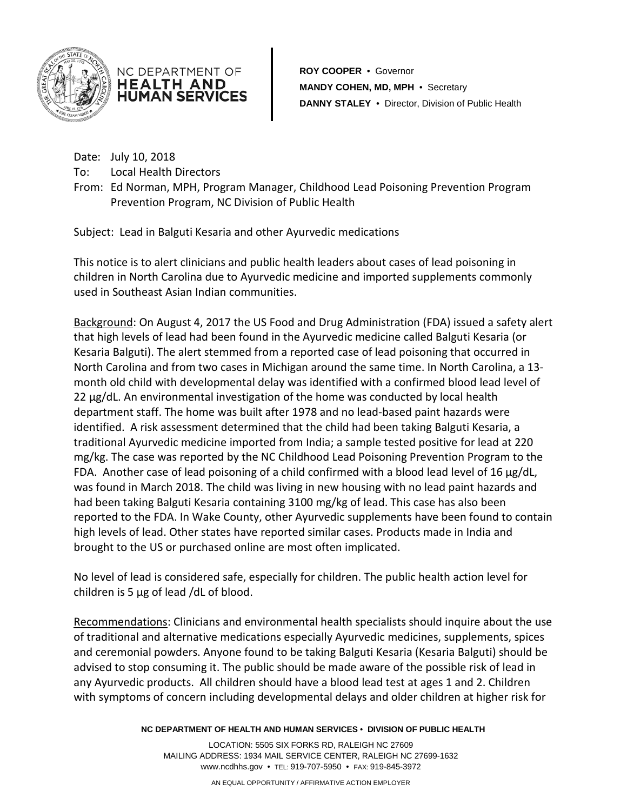



**ROY COOPER** • Governor **MANDY COHEN, MD, MPH** • Secretary **DANNY STALEY** • Director, Division of Public Health

Date: July 10, 2018

To: Local Health Directors

From: Ed Norman, MPH, Program Manager, Childhood Lead Poisoning Prevention Program Prevention Program, NC Division of Public Health

Subject: Lead in Balguti Kesaria and other Ayurvedic medications

This notice is to alert clinicians and public health leaders about cases of lead poisoning in children in North Carolina due to Ayurvedic medicine and imported supplements commonly used in Southeast Asian Indian communities.

Background: On August 4, 2017 the US Food and Drug Administration (FDA) issued a safety alert that high levels of lead had been found in the Ayurvedic medicine called Balguti Kesaria (or Kesaria Balguti). The alert stemmed from a reported case of lead poisoning that occurred in North Carolina and from two cases in Michigan around the same time. In North Carolina, a 13 month old child with developmental delay was identified with a confirmed blood lead level of 22 µg/dL. An environmental investigation of the home was conducted by local health department staff. The home was built after 1978 and no lead-based paint hazards were identified. A risk assessment determined that the child had been taking Balguti Kesaria, a traditional Ayurvedic medicine imported from India; a sample tested positive for lead at 220 mg/kg. The case was reported by the NC Childhood Lead Poisoning Prevention Program to the FDA. Another case of lead poisoning of a child confirmed with a blood lead level of 16 µg/dL, was found in March 2018. The child was living in new housing with no lead paint hazards and had been taking Balguti Kesaria containing 3100 mg/kg of lead. This case has also been reported to the FDA. In Wake County, other Ayurvedic supplements have been found to contain high levels of lead. Other states have reported similar cases. Products made in India and brought to the US or purchased online are most often implicated.

No level of lead is considered safe, especially for children. The public health action level for children is 5 µg of lead /dL of blood.

Recommendations: Clinicians and environmental health specialists should inquire about the use of traditional and alternative medications especially Ayurvedic medicines, supplements, spices and ceremonial powders. Anyone found to be taking Balguti Kesaria (Kesaria Balguti) should be advised to stop consuming it. The public should be made aware of the possible risk of lead in any Ayurvedic products. All children should have a blood lead test at ages 1 and 2. Children with symptoms of concern including developmental delays and older children at higher risk for

**NC DEPARTMENT OF HEALTH AND HUMAN SERVICES** • **DIVISION OF PUBLIC HEALTH**

LOCATION: 5505 SIX FORKS RD, RALEIGH NC 27609 MAILING ADDRESS: 1934 MAIL SERVICE CENTER, RALEIGH NC 27699-1632 www.ncdhhs.gov • TEL: 919-707-5950 • FAX: 919-845-3972